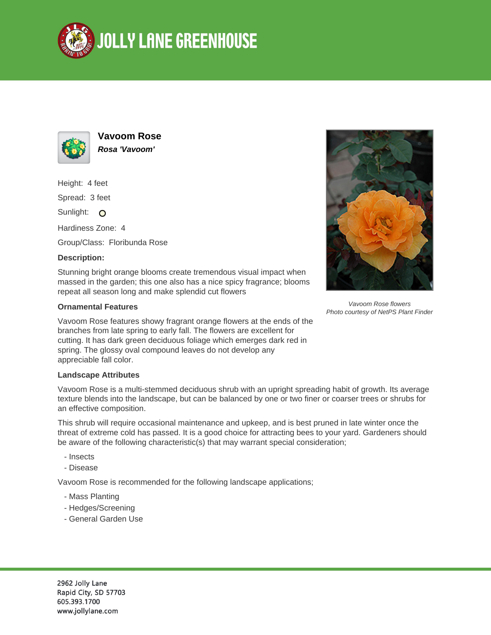



**Vavoom Rose Rosa 'Vavoom'**

Height: 4 feet

Spread: 3 feet

Sunlight: O

Hardiness Zone: 4

Group/Class: Floribunda Rose

## **Description:**

Stunning bright orange blooms create tremendous visual impact when massed in the garden; this one also has a nice spicy fragrance; blooms repeat all season long and make splendid cut flowers

## **Ornamental Features**

Vavoom Rose features showy fragrant orange flowers at the ends of the branches from late spring to early fall. The flowers are excellent for cutting. It has dark green deciduous foliage which emerges dark red in spring. The glossy oval compound leaves do not develop any appreciable fall color.

## **Landscape Attributes**

Vavoom Rose is a multi-stemmed deciduous shrub with an upright spreading habit of growth. Its average texture blends into the landscape, but can be balanced by one or two finer or coarser trees or shrubs for an effective composition.

This shrub will require occasional maintenance and upkeep, and is best pruned in late winter once the threat of extreme cold has passed. It is a good choice for attracting bees to your yard. Gardeners should be aware of the following characteristic(s) that may warrant special consideration;

- Insects
- Disease

Vavoom Rose is recommended for the following landscape applications;

- Mass Planting
- Hedges/Screening
- General Garden Use



Vavoom Rose flowers Photo courtesy of NetPS Plant Finder

2962 Jolly Lane Rapid City, SD 57703 605.393.1700 www.jollylane.com